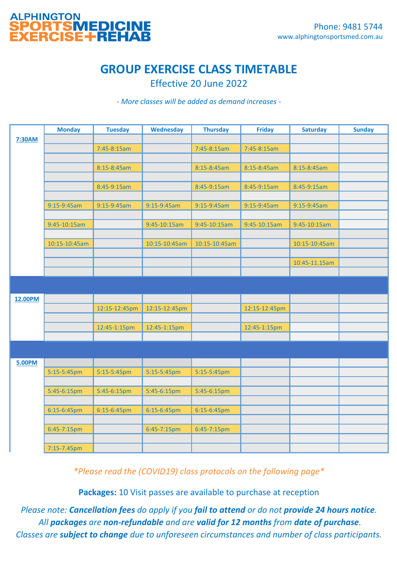

## **GROUP EXERCISE CLASS TIMETABLE**

Effective 20 June 2022

*- More classes will be added as demand increases -*

|               | <b>Monday</b> | <b>Tuesday</b> | <b>Wednesday</b> | <b>Thursday</b> | <b>Friday</b> | <b>Saturday</b> | <b>Sunday</b> |
|---------------|---------------|----------------|------------------|-----------------|---------------|-----------------|---------------|
| 7:30AM        |               |                |                  |                 |               |                 |               |
|               |               | 7:45-8:15am    |                  | 7:45-8:15am     | 7:45-8:15am   |                 |               |
|               |               |                |                  |                 |               |                 |               |
|               |               | 8:15-8:45am    |                  | 8:15-8:45am     | 8:15-8:45am   | 8:15-8:45am     |               |
|               |               |                |                  |                 |               |                 |               |
|               |               | 8:45-9:15am    |                  | 8:45-9:15am     | 8:45-9:15am   | 8:45-9:15am     |               |
|               |               |                |                  |                 |               |                 |               |
|               | 9:15-9:45am   | 9:15-9:45am    | 9:15-9:45am      | 9:15-9:45am     | 9:15-9:45am   | 9:15-9:45am     |               |
|               |               |                |                  |                 |               |                 |               |
|               | 9:45-10:15am  |                | 9:45-10:15am     | 9:45-10:15am    | 9:45-10:15am  | 9:45-10:15am    |               |
|               |               |                |                  |                 |               |                 |               |
|               | 10:15-10:45am |                | 10:15-10:45am    | 10:15-10:45am   |               | 10:15-10:45am   |               |
|               |               |                |                  |                 |               |                 |               |
|               |               |                |                  |                 |               | 10:45-11.15am   |               |
|               |               |                |                  |                 |               |                 |               |
|               |               |                |                  |                 |               |                 |               |
| 12.00PM       |               |                |                  |                 |               |                 |               |
|               |               | 12:15-12:45pm  | 12:15-12:45pm    |                 | 12:15-12:45pm |                 |               |
|               |               |                |                  |                 |               |                 |               |
|               |               | 12:45-1:15pm   | 12:45-1:15pm     |                 | 12:45-1:15pm  |                 |               |
|               |               |                |                  |                 |               |                 |               |
|               |               |                |                  |                 |               |                 |               |
|               |               |                |                  |                 |               |                 |               |
| <b>5.00PM</b> |               |                |                  |                 |               |                 |               |
|               | 5:15-5:45pm   | 5:15-5:45pm    | 5:15-5:45pm      | 5:15-5:45pm     |               |                 |               |
|               |               |                |                  |                 |               |                 |               |
|               | 5:45-6:15pm   | 5:45-6:15pm    | 5:45-6:15pm      | 5:45-6:15pm     |               |                 |               |
|               |               |                |                  |                 |               |                 |               |
|               | 6:15-6:45pm   | 6:15-6:45pm    | 6:15-6:45pm      | 6:15-6:45pm     |               |                 |               |
|               |               |                |                  |                 |               |                 |               |
|               | 6:45-7:15pm   |                | 6:45-7:15pm      | 6:45-7:15pm     |               |                 |               |
|               |               |                |                  |                 |               |                 |               |
|               | 7:15-7.45pm   |                |                  |                 |               |                 |               |

*\*Please read the (COVID19) class protocols on the following page\**

**Packages:** 10 Visit passes are available to purchase at reception

*Please note: Cancellation fees do apply if you fail to attend or do not provide 24 hours notice. All packages are non-refundable and are valid for 12 months from date of purchase. Classes are subject to change due to unforeseen circumstances and number of class participants.*